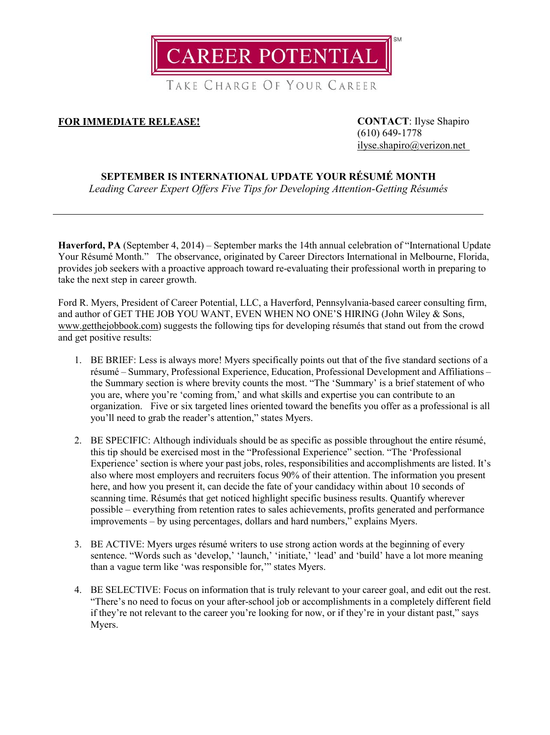**CAREER POTENTIAL** 

TAKE CHARGE OF YOUR CAREER

## **FOR IMMEDIATE RELEASE! CONTACT**: Ilyse Shapiro

(610) 649-1778 [ilyse.shapiro@verizon.net](mailto:ilyse.shapiro@verizon.net)

## **SEPTEMBER IS INTERNATIONAL UPDATE YOUR RÉSUMÉ MONTH**

*Leading Career Expert Offers Five Tips for Developing Attention-Getting Résumés*

**Haverford, PA** (September 4, 2014) – September marks the 14th annual celebration of "International Update Your Résumé Month." The observance, originated by Career Directors International in Melbourne, Florida, provides job seekers with a proactive approach toward re-evaluating their professional worth in preparing to take the next step in career growth.

Ford R. Myers, President of Career Potential, LLC, a Haverford, Pennsylvania-based career consulting firm, and author of GET THE JOB YOU WANT, EVEN WHEN NO ONE'S HIRING (John Wiley & Sons, [www.getthejobbook.com\)](http://www.getthejobbook.com/) suggests the following tips for developing résumés that stand out from the crowd and get positive results:

- 1. BE BRIEF: Less is always more! Myers specifically points out that of the five standard sections of a résumé – Summary, Professional Experience, Education, Professional Development and Affiliations – the Summary section is where brevity counts the most. "The 'Summary' is a brief statement of who you are, where you're 'coming from,' and what skills and expertise you can contribute to an organization. Five or six targeted lines oriented toward the benefits you offer as a professional is all you'll need to grab the reader's attention," states Myers.
- 2. BE SPECIFIC: Although individuals should be as specific as possible throughout the entire résumé, this tip should be exercised most in the "Professional Experience" section. "The 'Professional Experience' section is where your past jobs, roles, responsibilities and accomplishments are listed. It's also where most employers and recruiters focus 90% of their attention. The information you present here, and how you present it, can decide the fate of your candidacy within about 10 seconds of scanning time. Résumés that get noticed highlight specific business results. Quantify wherever possible – everything from retention rates to sales achievements, profits generated and performance improvements – by using percentages, dollars and hard numbers," explains Myers.
- 3. BE ACTIVE: Myers urges résumé writers to use strong action words at the beginning of every sentence. "Words such as 'develop,' 'launch,' 'initiate,' 'lead' and 'build' have a lot more meaning than a vague term like 'was responsible for,'" states Myers.
- 4. BE SELECTIVE: Focus on information that is truly relevant to your career goal, and edit out the rest. "There's no need to focus on your after-school job or accomplishments in a completely different field if they're not relevant to the career you're looking for now, or if they're in your distant past," says Myers.